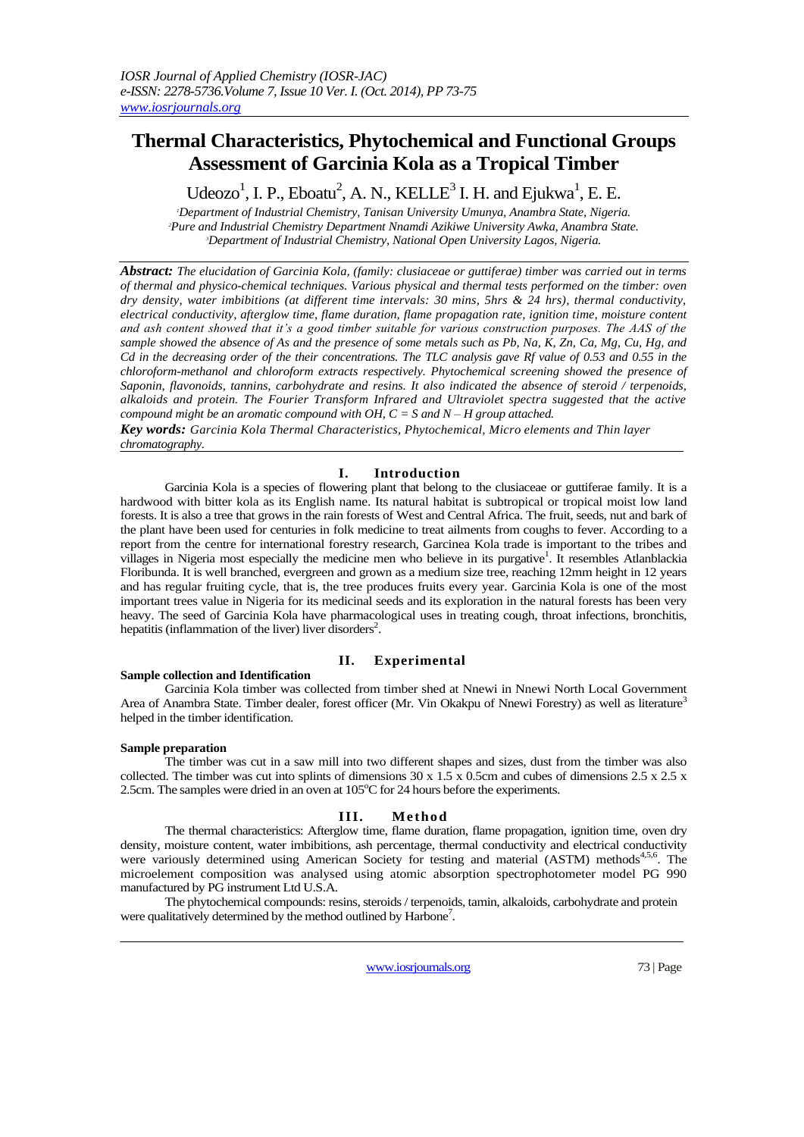# **Thermal Characteristics, Phytochemical and Functional Groups Assessment of Garcinia Kola as a Tropical Timber**

# Udeozo<sup>1</sup>, I. P., Eboatu<sup>2</sup>, A. N., KELLE<sup>3</sup> I. H. and Ejukwa<sup>1</sup>, E. E.

*<sup>1</sup>Department of Industrial Chemistry, Tanisan University Umunya, Anambra State, Nigeria. <sup>2</sup>Pure and Industrial Chemistry Department Nnamdi Azikiwe University Awka, Anambra State. <sup>3</sup>Department of Industrial Chemistry, National Open University Lagos, Nigeria.*

*Abstract: The elucidation of Garcinia Kola, (family: clusiaceae or guttiferae) timber was carried out in terms of thermal and physico-chemical techniques. Various physical and thermal tests performed on the timber: oven dry density, water imbibitions (at different time intervals: 30 mins, 5hrs & 24 hrs), thermal conductivity, electrical conductivity, afterglow time, flame duration, flame propagation rate, ignition time, moisture content and ash content showed that it's a good timber suitable for various construction purposes. The AAS of the sample showed the absence of As and the presence of some metals such as Pb, Na, K, Zn, Ca, Mg, Cu, Hg, and Cd in the decreasing order of the their concentrations. The TLC analysis gave Rf value of 0.53 and 0.55 in the chloroform-methanol and chloroform extracts respectively. Phytochemical screening showed the presence of Saponin, flavonoids, tannins, carbohydrate and resins. It also indicated the absence of steroid / terpenoids, alkaloids and protein. The Fourier Transform Infrared and Ultraviolet spectra suggested that the active compound might be an aromatic compound with OH, C = S and N – H group attached.*

*Key words: Garcinia Kola Thermal Characteristics, Phytochemical, Micro elements and Thin layer chromatography.*

# **I. Introduction**

Garcinia Kola is a species of flowering plant that belong to the clusiaceae or guttiferae family. It is a hardwood with bitter kola as its English name. Its natural habitat is subtropical or tropical moist low land forests. It is also a tree that grows in the rain forests of West and Central Africa. The fruit, seeds, nut and bark of the plant have been used for centuries in folk medicine to treat ailments from coughs to fever. According to a report from the centre for international forestry research, Garcinea Kola trade is important to the tribes and villages in Nigeria most especially the medicine men who believe in its purgative<sup>1</sup>. It resembles Atlanblackia Floribunda. It is well branched, evergreen and grown as a medium size tree, reaching 12mm height in 12 years and has regular fruiting cycle, that is, the tree produces fruits every year. Garcinia Kola is one of the most important trees value in Nigeria for its medicinal seeds and its exploration in the natural forests has been very heavy. The seed of Garcinia Kola have pharmacological uses in treating cough, throat infections, bronchitis, hepatitis (inflammation of the liver) liver disorders<sup>2</sup>.

## **II. Experimental**

### **Sample collection and Identification**

Garcinia Kola timber was collected from timber shed at Nnewi in Nnewi North Local Government Area of Anambra State. Timber dealer, forest officer (Mr. Vin Okakpu of Nnewi Forestry) as well as literature<sup>3</sup> helped in the timber identification.

### **Sample preparation**

The timber was cut in a saw mill into two different shapes and sizes, dust from the timber was also collected. The timber was cut into splints of dimensions  $30 \times 1.5 \times 0.5$ cm and cubes of dimensions  $2.5 \times 2.5 \times 10^{-1}$ 2.5cm. The samples were dried in an oven at  $105^{\circ}$ C for 24 hours before the experiments.

## **III. Me thod**

The thermal characteristics: Afterglow time, flame duration, flame propagation, ignition time, oven dry density, moisture content, water imbibitions, ash percentage, thermal conductivity and electrical conductivity were variously determined using American Society for testing and material (ASTM) methods<sup>4,5,6</sup>. The microelement composition was analysed using atomic absorption spectrophotometer model PG 990 manufactured by PG instrument Ltd U.S.A.

The phytochemical compounds: resins, steroids / terpenoids, tamin, alkaloids, carbohydrate and protein were qualitatively determined by the method outlined by Harbone<sup>7</sup>.

www.iosrjournals.org 73 | Page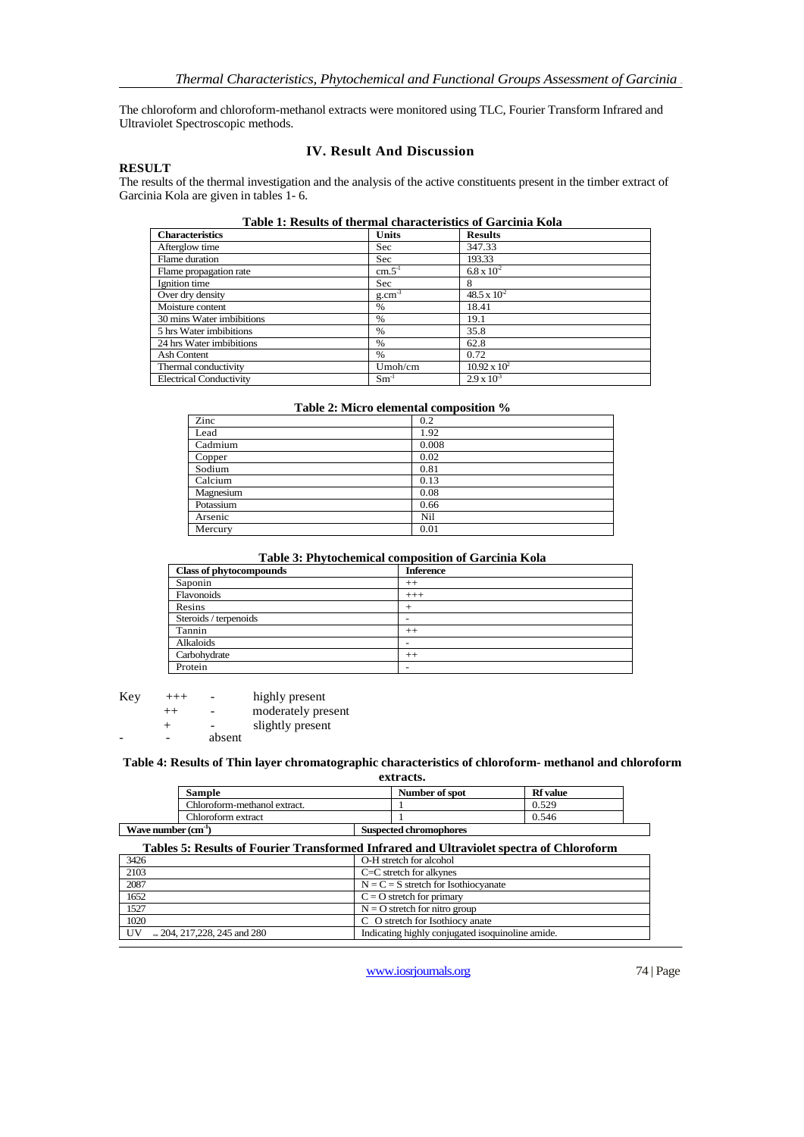The chloroform and chloroform-methanol extracts were monitored using TLC, Fourier Transform Infrared and Ultraviolet Spectroscopic methods.

### **RESULT**

# **IV. Result And Discussion**

The results of the thermal investigation and the analysis of the active constituents present in the timber extract of Garcinia Kola are given in tables 1- 6.

| <b>Characteristics</b>         | <b>Units</b> | <b>Results</b>       |
|--------------------------------|--------------|----------------------|
| Afterglow time                 | Sec          | 347.33               |
| Flame duration                 | Sec          | 193.33               |
| Flame propagation rate         | $cm.5-1$     | $6.8 \times 10^{2}$  |
| Ignition time                  | Sec          | 8                    |
| Over dry density               | $g.cm^{-3}$  | $48.5 \times 10^{2}$ |
| Moisture content               | $\%$         | 18.41                |
| 30 mins Water imbibitions      | $\%$         | 19.1                 |
| 5 hrs Water imbibitions        | $\%$         | 35.8                 |
| 24 hrs Water imbibitions       | $\%$         | 62.8                 |
| Ash Content                    | $\%$         | 0.72                 |
| Thermal conductivity           | $U$ moh/cm   | $10.92 \times 10^2$  |
| <b>Electrical Conductivity</b> | $Sm^{-1}$    | $2.9 \times 10^{3}$  |

#### **Table 2: Micro elemental composition %**

| Zinc      | 0.2   |
|-----------|-------|
| Lead      | 1.92  |
| Cadmium   | 0.008 |
| Copper    | 0.02  |
| Sodium    | 0.81  |
| Calcium   | 0.13  |
| Magnesium | 0.08  |
| Potassium | 0.66  |
| Arsenic   | Nil   |
| Mercury   | 0.01  |

## **Table 3: Phytochemical composition of Garcinia Kola**

| <b>Class of phytocompounds</b> | <b>Inference</b> |
|--------------------------------|------------------|
| Saponin                        | $++$             |
| Flavonoids                     | $+++$            |
| Resins                         |                  |
| Steroids / terpenoids          |                  |
| Tannin                         | $++$             |
| Alkaloids                      |                  |
| Carbohydrate                   | $++$             |
| Protein                        |                  |

| Key | $+++$   | -      | highly present     |
|-----|---------|--------|--------------------|
|     | $^{++}$ |        | moderately present |
|     | ┶       |        | slightly present   |
|     |         | absent |                    |

#### **Table 4: Results of Thin layer chromatographic characteristics of chloroform- methanol and chloroform extracts.**

|                      |                              | -----------                   |                 |  |
|----------------------|------------------------------|-------------------------------|-----------------|--|
|                      | <b>Sample</b>                | Number of spot                | <b>Rf</b> value |  |
|                      | Chloroform-methanol extract. |                               | 0.529           |  |
|                      | Chloroform extract           |                               | 0.546           |  |
| Wave number $(cm-1)$ |                              | <b>Suspected chromophores</b> |                 |  |

| Tables 5: Results of Fourier Transformed Infrared and Ultraviolet spectra of Chloroform |                                                  |  |
|-----------------------------------------------------------------------------------------|--------------------------------------------------|--|
| 3426                                                                                    | O-H stretch for alcohol                          |  |
| 2103                                                                                    | $C=C$ stretch for alkynes                        |  |
| 2087                                                                                    | $N = C = S$ stretch for Isothiocyanate           |  |
| 1652                                                                                    | $C = O$ stretch for primary                      |  |
| 1527                                                                                    | $N = O$ stretch for nitro group                  |  |
| 1020                                                                                    | C . O stretch for Isothiocy anate                |  |
| UV<br>$\approx$ 204, 217, 228, 245 and 280                                              | Indicating highly conjugated isoquinoline amide. |  |
|                                                                                         |                                                  |  |

www.iosrjournals.org 74 | Page

٦